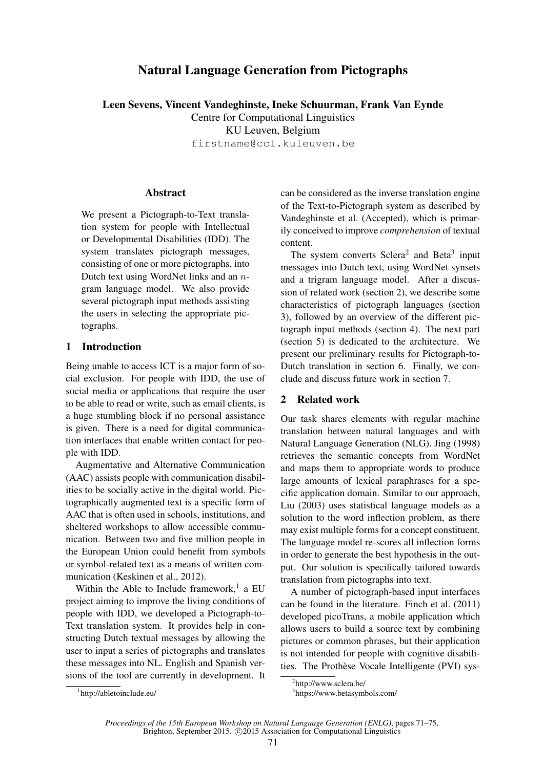# Natural Language Generation from Pictographs

Leen Sevens, Vincent Vandeghinste, Ineke Schuurman, Frank Van Eynde Centre for Computational Linguistics KU Leuven, Belgium firstname@ccl.kuleuven.be

#### **Abstract**

We present a Pictograph-to-Text translation system for people with Intellectual or Developmental Disabilities (IDD). The system translates pictograph messages, consisting of one or more pictographs, into Dutch text using WordNet links and an ngram language model. We also provide several pictograph input methods assisting the users in selecting the appropriate pictographs.

## 1 Introduction

Being unable to access ICT is a major form of social exclusion. For people with IDD, the use of social media or applications that require the user to be able to read or write, such as email clients, is a huge stumbling block if no personal assistance is given. There is a need for digital communication interfaces that enable written contact for people with IDD.

Augmentative and Alternative Communication (AAC) assists people with communication disabilities to be socially active in the digital world. Pictographically augmented text is a specific form of AAC that is often used in schools, institutions, and sheltered workshops to allow accessible communication. Between two and five million people in the European Union could benefit from symbols or symbol-related text as a means of written communication (Keskinen et al., 2012).

Within the Able to Include framework,<sup>1</sup> a EU project aiming to improve the living conditions of people with IDD, we developed a Pictograph-to-Text translation system. It provides help in constructing Dutch textual messages by allowing the user to input a series of pictographs and translates these messages into NL. English and Spanish versions of the tool are currently in development. It can be considered as the inverse translation engine of the Text-to-Pictograph system as described by Vandeghinste et al. (Accepted), which is primarily conceived to improve *comprehension* of textual content.

The system converts  $Sclera<sup>2</sup>$  and Beta<sup>3</sup> input messages into Dutch text, using WordNet synsets and a trigram language model. After a discussion of related work (section 2), we describe some characteristics of pictograph languages (section 3), followed by an overview of the different pictograph input methods (section 4). The next part (section 5) is dedicated to the architecture. We present our preliminary results for Pictograph-to-Dutch translation in section 6. Finally, we conclude and discuss future work in section 7.

### 2 Related work

Our task shares elements with regular machine translation between natural languages and with Natural Language Generation (NLG). Jing (1998) retrieves the semantic concepts from WordNet and maps them to appropriate words to produce large amounts of lexical paraphrases for a specific application domain. Similar to our approach, Liu (2003) uses statistical language models as a solution to the word inflection problem, as there may exist multiple forms for a concept constituent. The language model re-scores all inflection forms in order to generate the best hypothesis in the output. Our solution is specifically tailored towards translation from pictographs into text.

A number of pictograph-based input interfaces can be found in the literature. Finch et al. (2011) developed picoTrans, a mobile application which allows users to build a source text by combining pictures or common phrases, but their application is not intended for people with cognitive disabilities. The Prothèse Vocale Intelligente (PVI) sys-

<sup>&</sup>lt;sup>2</sup>http://www.sclera.be/

<sup>3</sup> https://www.betasymbols.com/

<sup>1</sup> http://abletoinclude.eu/

*Proceedings of the 15th European Workshop on Natural Language Generation (ENLG)*, pages 71–75, Brighton, September 2015. © 2015 Association for Computational Linguistics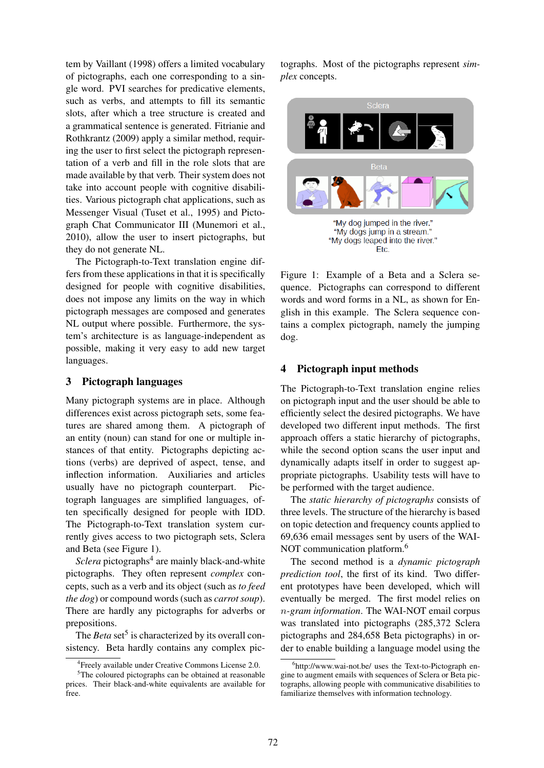tem by Vaillant (1998) offers a limited vocabulary of pictographs, each one corresponding to a single word. PVI searches for predicative elements, such as verbs, and attempts to fill its semantic slots, after which a tree structure is created and a grammatical sentence is generated. Fitrianie and Rothkrantz (2009) apply a similar method, requiring the user to first select the pictograph representation of a verb and fill in the role slots that are made available by that verb. Their system does not take into account people with cognitive disabilities. Various pictograph chat applications, such as Messenger Visual (Tuset et al., 1995) and Pictograph Chat Communicator III (Munemori et al., 2010), allow the user to insert pictographs, but they do not generate NL.

The Pictograph-to-Text translation engine differs from these applications in that it is specifically designed for people with cognitive disabilities, does not impose any limits on the way in which pictograph messages are composed and generates NL output where possible. Furthermore, the system's architecture is as language-independent as possible, making it very easy to add new target languages.

### 3 Pictograph languages

Many pictograph systems are in place. Although differences exist across pictograph sets, some features are shared among them. A pictograph of an entity (noun) can stand for one or multiple instances of that entity. Pictographs depicting actions (verbs) are deprived of aspect, tense, and inflection information. Auxiliaries and articles usually have no pictograph counterpart. Pictograph languages are simplified languages, often specifically designed for people with IDD. The Pictograph-to-Text translation system currently gives access to two pictograph sets, Sclera and Beta (see Figure 1).

Sclera pictographs<sup>4</sup> are mainly black-and-white pictographs. They often represent *complex* concepts, such as a verb and its object (such as *to feed the dog*) or compound words (such as *carrot soup*). There are hardly any pictographs for adverbs or prepositions.

The *Beta* set<sup>5</sup> is characterized by its overall consistency. Beta hardly contains any complex pic-

tographs. Most of the pictographs represent *simplex* concepts.



Figure 1: Example of a Beta and a Sclera sequence. Pictographs can correspond to different words and word forms in a NL, as shown for English in this example. The Sclera sequence contains a complex pictograph, namely the jumping dog.

### 4 Pictograph input methods

The Pictograph-to-Text translation engine relies on pictograph input and the user should be able to efficiently select the desired pictographs. We have developed two different input methods. The first approach offers a static hierarchy of pictographs, while the second option scans the user input and dynamically adapts itself in order to suggest appropriate pictographs. Usability tests will have to be performed with the target audience.

The *static hierarchy of pictographs* consists of three levels. The structure of the hierarchy is based on topic detection and frequency counts applied to 69,636 email messages sent by users of the WAI-NOT communication platform.<sup>6</sup>

The second method is a *dynamic pictograph prediction tool*, the first of its kind. Two different prototypes have been developed, which will eventually be merged. The first model relies on n*-gram information*. The WAI-NOT email corpus was translated into pictographs (285,372 Sclera pictographs and 284,658 Beta pictographs) in order to enable building a language model using the

<sup>4</sup> Freely available under Creative Commons License 2.0.

<sup>&</sup>lt;sup>5</sup>The coloured pictographs can be obtained at reasonable prices. Their black-and-white equivalents are available for free.

<sup>&</sup>lt;sup>6</sup>http://www.wai-not.be/ uses the Text-to-Pictograph engine to augment emails with sequences of Sclera or Beta pictographs, allowing people with communicative disabilities to familiarize themselves with information technology.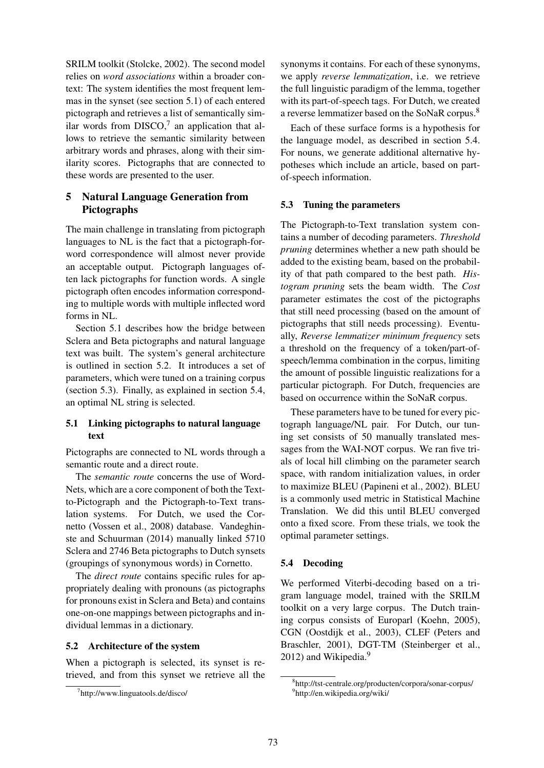SRILM toolkit (Stolcke, 2002). The second model relies on *word associations* within a broader context: The system identifies the most frequent lemmas in the synset (see section 5.1) of each entered pictograph and retrieves a list of semantically similar words from  $DISCO<sub>1</sub><sup>7</sup>$  an application that allows to retrieve the semantic similarity between arbitrary words and phrases, along with their similarity scores. Pictographs that are connected to these words are presented to the user.

# 5 Natural Language Generation from Pictographs

The main challenge in translating from pictograph languages to NL is the fact that a pictograph-forword correspondence will almost never provide an acceptable output. Pictograph languages often lack pictographs for function words. A single pictograph often encodes information corresponding to multiple words with multiple inflected word forms in NL.

Section 5.1 describes how the bridge between Sclera and Beta pictographs and natural language text was built. The system's general architecture is outlined in section 5.2. It introduces a set of parameters, which were tuned on a training corpus (section 5.3). Finally, as explained in section 5.4, an optimal NL string is selected.

# 5.1 Linking pictographs to natural language text

Pictographs are connected to NL words through a semantic route and a direct route.

The *semantic route* concerns the use of Word-Nets, which are a core component of both the Textto-Pictograph and the Pictograph-to-Text translation systems. For Dutch, we used the Cornetto (Vossen et al., 2008) database. Vandeghinste and Schuurman (2014) manually linked 5710 Sclera and 2746 Beta pictographs to Dutch synsets (groupings of synonymous words) in Cornetto.

The *direct route* contains specific rules for appropriately dealing with pronouns (as pictographs for pronouns exist in Sclera and Beta) and contains one-on-one mappings between pictographs and individual lemmas in a dictionary.

### 5.2 Architecture of the system

When a pictograph is selected, its synset is retrieved, and from this synset we retrieve all the synonyms it contains. For each of these synonyms, we apply *reverse lemmatization*, i.e. we retrieve the full linguistic paradigm of the lemma, together with its part-of-speech tags. For Dutch, we created a reverse lemmatizer based on the SoNaR corpus.<sup>8</sup>

Each of these surface forms is a hypothesis for the language model, as described in section 5.4. For nouns, we generate additional alternative hypotheses which include an article, based on partof-speech information.

### 5.3 Tuning the parameters

The Pictograph-to-Text translation system contains a number of decoding parameters. *Threshold pruning* determines whether a new path should be added to the existing beam, based on the probability of that path compared to the best path. *Histogram pruning* sets the beam width. The *Cost* parameter estimates the cost of the pictographs that still need processing (based on the amount of pictographs that still needs processing). Eventually, *Reverse lemmatizer minimum frequency* sets a threshold on the frequency of a token/part-ofspeech/lemma combination in the corpus, limiting the amount of possible linguistic realizations for a particular pictograph. For Dutch, frequencies are based on occurrence within the SoNaR corpus.

These parameters have to be tuned for every pictograph language/NL pair. For Dutch, our tuning set consists of 50 manually translated messages from the WAI-NOT corpus. We ran five trials of local hill climbing on the parameter search space, with random initialization values, in order to maximize BLEU (Papineni et al., 2002). BLEU is a commonly used metric in Statistical Machine Translation. We did this until BLEU converged onto a fixed score. From these trials, we took the optimal parameter settings.

#### 5.4 Decoding

We performed Viterbi-decoding based on a trigram language model, trained with the SRILM toolkit on a very large corpus. The Dutch training corpus consists of Europarl (Koehn, 2005), CGN (Oostdijk et al., 2003), CLEF (Peters and Braschler, 2001), DGT-TM (Steinberger et al., 2012) and Wikipedia. $9$ 

<sup>7</sup> http://www.linguatools.de/disco/

<sup>8</sup> http://tst-centrale.org/producten/corpora/sonar-corpus/ 9 http://en.wikipedia.org/wiki/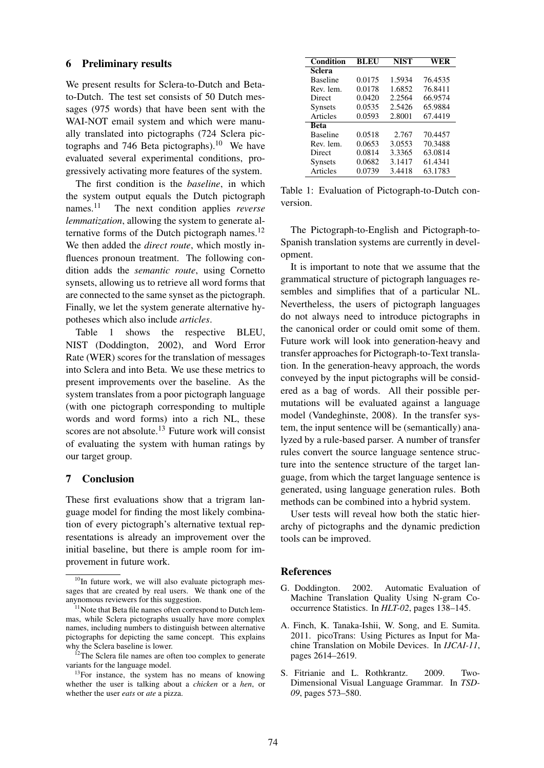### 6 Preliminary results

We present results for Sclera-to-Dutch and Betato-Dutch. The test set consists of 50 Dutch messages (975 words) that have been sent with the WAI-NOT email system and which were manually translated into pictographs (724 Sclera pictographs and 746 Beta pictographs).<sup>10</sup> We have evaluated several experimental conditions, progressively activating more features of the system.

The first condition is the *baseline*, in which the system output equals the Dutch pictograph names.<sup>11</sup> The next condition applies *reverse lemmatization*, allowing the system to generate alternative forms of the Dutch pictograph names. $^{12}$ We then added the *direct route*, which mostly influences pronoun treatment. The following condition adds the *semantic route*, using Cornetto synsets, allowing us to retrieve all word forms that are connected to the same synset as the pictograph. Finally, we let the system generate alternative hypotheses which also include *articles*.

Table 1 shows the respective BLEU, NIST (Doddington, 2002), and Word Error Rate (WER) scores for the translation of messages into Sclera and into Beta. We use these metrics to present improvements over the baseline. As the system translates from a poor pictograph language (with one pictograph corresponding to multiple words and word forms) into a rich NL, these scores are not absolute.<sup>13</sup> Future work will consist of evaluating the system with human ratings by our target group.

## 7 Conclusion

These first evaluations show that a trigram language model for finding the most likely combination of every pictograph's alternative textual representations is already an improvement over the initial baseline, but there is ample room for improvement in future work.

| Condition       | BLEU   | <b>NIST</b> | WER     |
|-----------------|--------|-------------|---------|
| Sclera          |        |             |         |
| <b>Baseline</b> | 0.0175 | 1.5934      | 76.4535 |
| Rev. lem.       | 0.0178 | 1.6852      | 76.8411 |
| Direct          | 0.0420 | 2.2564      | 66.9574 |
| <b>Synsets</b>  | 0.0535 | 2.5426      | 65.9884 |
| Articles        | 0.0593 | 2.8001      | 67.4419 |
| <b>Beta</b>     |        |             |         |
| <b>Baseline</b> | 0.0518 | 2.767       | 70.4457 |
| Rev. lem.       | 0.0653 | 3.0553      | 70.3488 |
| Direct          | 0.0814 | 3.3365      | 63.0814 |
| <b>Synsets</b>  | 0.0682 | 3.1417      | 61.4341 |
| Articles        | 0.0739 | 3.4418      | 63.1783 |

Table 1: Evaluation of Pictograph-to-Dutch conversion.

The Pictograph-to-English and Pictograph-to-Spanish translation systems are currently in development.

It is important to note that we assume that the grammatical structure of pictograph languages resembles and simplifies that of a particular NL. Nevertheless, the users of pictograph languages do not always need to introduce pictographs in the canonical order or could omit some of them. Future work will look into generation-heavy and transfer approaches for Pictograph-to-Text translation. In the generation-heavy approach, the words conveyed by the input pictographs will be considered as a bag of words. All their possible permutations will be evaluated against a language model (Vandeghinste, 2008). In the transfer system, the input sentence will be (semantically) analyzed by a rule-based parser. A number of transfer rules convert the source language sentence structure into the sentence structure of the target language, from which the target language sentence is generated, using language generation rules. Both methods can be combined into a hybrid system.

User tests will reveal how both the static hierarchy of pictographs and the dynamic prediction tools can be improved.

### **References**

- G. Doddington. 2002. Automatic Evaluation of Machine Translation Quality Using N-gram Cooccurrence Statistics. In *HLT-02*, pages 138–145.
- A. Finch, K. Tanaka-Ishii, W. Song, and E. Sumita. 2011. picoTrans: Using Pictures as Input for Machine Translation on Mobile Devices. In *IJCAI-11*, pages 2614–2619.
- S. Fitrianie and L. Rothkrantz. 2009. Two-Dimensional Visual Language Grammar. In *TSD-09*, pages 573–580.

<sup>&</sup>lt;sup>10</sup>In future work, we will also evaluate pictograph messages that are created by real users. We thank one of the anynomous reviewers for this suggestion.

<sup>&</sup>lt;sup>11</sup>Note that Beta file names often correspond to Dutch lemmas, while Sclera pictographs usually have more complex names, including numbers to distinguish between alternative pictographs for depicting the same concept. This explains why the Sclera baseline is lower.

<sup>&</sup>lt;sup>12</sup>The Sclera file names are often too complex to generate variants for the language model.

<sup>&</sup>lt;sup>13</sup>For instance, the system has no means of knowing whether the user is talking about a *chicken* or a *hen*, or whether the user *eats* or *ate* a pizza.